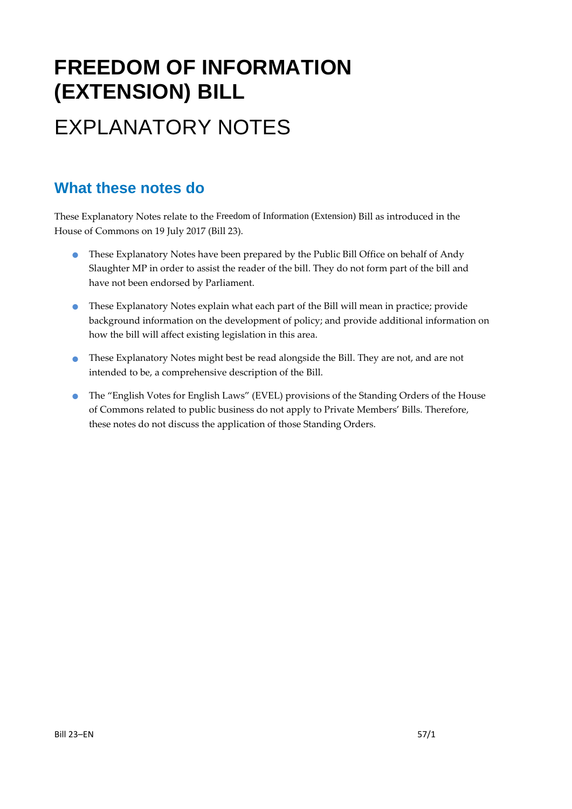# **FREEDOM OF INFORMATION (EXTENSION) BILL** EXPLANATORY NOTES

### **What these notes do**

These Explanatory Notes relate to the Freedom of Information (Extension) Bill as introduced in the House of Commons on 19 July 2017 (Bill 23).

- These Explanatory Notes have been prepared by the Public Bill Office on behalf of Andy Slaughter MP in order to assist the reader of the bill. They do not form part of the bill and have not been endorsed by Parliament.
- These Explanatory Notes explain what each part of the Bill will mean in practice; provide background information on the development of policy; and provide additional information on how the bill will affect existing legislation in this area.
- These Explanatory Notes might best be read alongside the Bill. They are not, and are not intended to be, a comprehensive description of the Bill.
- The "English Votes for English Laws" (EVEL) provisions of the Standing Orders of the House of Commons related to public business do not apply to Private Members' Bills. Therefore, these notes do not discuss the application of those Standing Orders.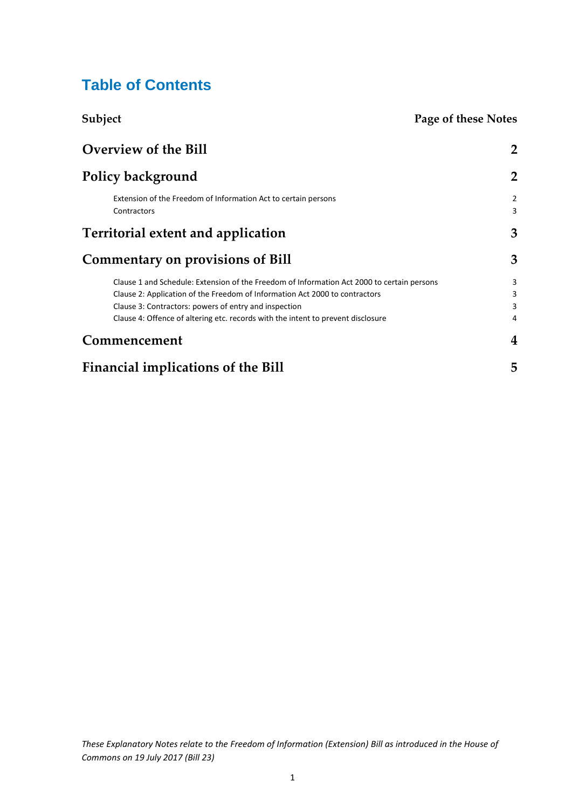### **Table of Contents**

| Subject                                                                                    | Page of these Notes          |
|--------------------------------------------------------------------------------------------|------------------------------|
| Overview of the Bill                                                                       | $\overline{2}$               |
| Policy background                                                                          | $\overline{2}$               |
| Extension of the Freedom of Information Act to certain persons<br>Contractors              | $\overline{\mathbf{c}}$<br>3 |
| Territorial extent and application                                                         | 3                            |
| <b>Commentary on provisions of Bill</b>                                                    | 3                            |
| Clause 1 and Schedule: Extension of the Freedom of Information Act 2000 to certain persons | 3                            |
| Clause 2: Application of the Freedom of Information Act 2000 to contractors                | 3                            |
| Clause 3: Contractors: powers of entry and inspection                                      | 3                            |
| Clause 4: Offence of altering etc. records with the intent to prevent disclosure           | 4                            |
| Commencement                                                                               | $\overline{4}$               |
| Financial implications of the Bill                                                         | 5                            |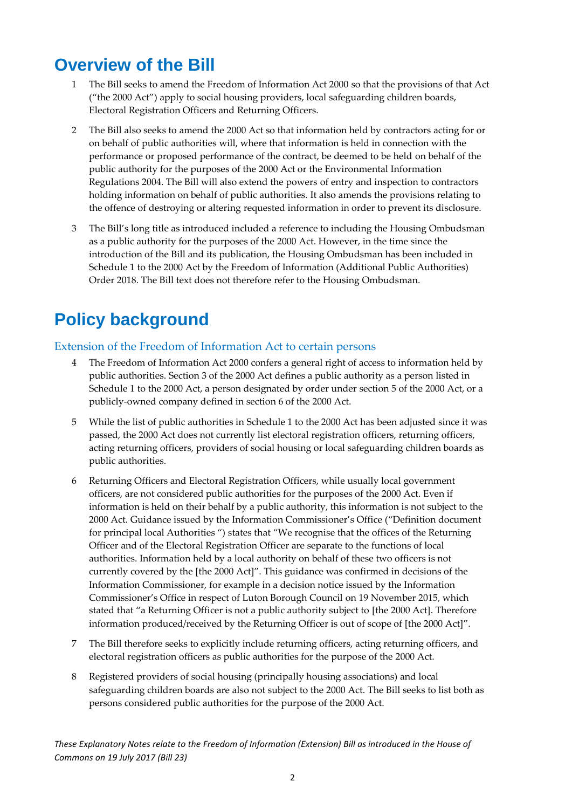## <span id="page-2-0"></span>**Overview of the Bill**

- 1 The Bill seeks to amend the Freedom of Information Act 2000 so that the provisions of that Act ("the 2000 Act") apply to social housing providers, local safeguarding children boards, Electoral Registration Officers and Returning Officers.
- 2 The Bill also seeks to amend the 2000 Act so that information held by contractors acting for or on behalf of public authorities will, where that information is held in connection with the performance or proposed performance of the contract, be deemed to be held on behalf of the public authority for the purposes of the 2000 Act or the Environmental Information Regulations 2004. The Bill will also extend the powers of entry and inspection to contractors holding information on behalf of public authorities. It also amends the provisions relating to the offence of destroying or altering requested information in order to prevent its disclosure.
- 3 The Bill's long title as introduced included a reference to including the Housing Ombudsman as a public authority for the purposes of the 2000 Act. However, in the time since the introduction of the Bill and its publication, the Housing Ombudsman has been included in Schedule 1 to the 2000 Act by the Freedom of Information (Additional Public Authorities) Order 2018. The Bill text does not therefore refer to the Housing Ombudsman.

# <span id="page-2-1"></span>**Policy background**

#### <span id="page-2-2"></span>Extension of the Freedom of Information Act to certain persons

- 4 The Freedom of Information Act 2000 confers a general right of access to information held by public authorities. Section 3 of the 2000 Act defines a public authority as a person listed in Schedule 1 to the 2000 Act, a person designated by order under section 5 of the 2000 Act, or a publicly-owned company defined in section 6 of the 2000 Act.
- 5 While the list of public authorities in Schedule 1 to the 2000 Act has been adjusted since it was passed, the 2000 Act does not currently list electoral registration officers, returning officers, acting returning officers, providers of social housing or local safeguarding children boards as public authorities.
- 6 Returning Officers and Electoral Registration Officers, while usually local government officers, are not considered public authorities for the purposes of the 2000 Act. Even if information is held on their behalf by a public authority, this information is not subject to the 2000 Act. Guidance issued by the Information Commissioner's Office ("Definition document for principal local Authorities ") states that "We recognise that the offices of the Returning Officer and of the Electoral Registration Officer are separate to the functions of local authorities. Information held by a local authority on behalf of these two officers is not currently covered by the [the 2000 Act]". This guidance was confirmed in decisions of the Information Commissioner, for example in a decision notice issued by the Information Commissioner's Office in respect of Luton Borough Council on 19 November 2015, which stated that "a Returning Officer is not a public authority subject to [the 2000 Act]. Therefore information produced/received by the Returning Officer is out of scope of [the 2000 Act]".
- 7 The Bill therefore seeks to explicitly include returning officers, acting returning officers, and electoral registration officers as public authorities for the purpose of the 2000 Act.
- 8 Registered providers of social housing (principally housing associations) and local safeguarding children boards are also not subject to the 2000 Act. The Bill seeks to list both as persons considered public authorities for the purpose of the 2000 Act.

*These Explanatory Notes relate to the Freedom of Information (Extension) Bill as introduced in the House of Commons on 19 July 2017 (Bill 23)*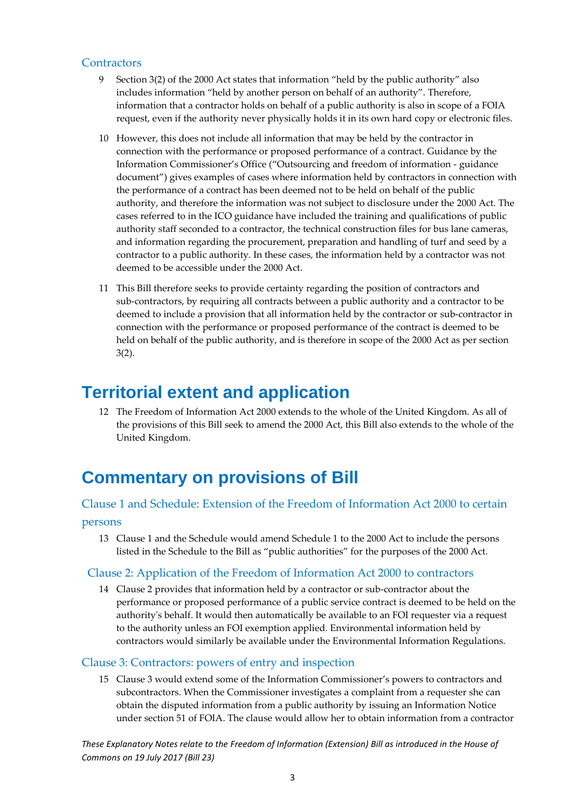#### <span id="page-3-0"></span>**Contractors**

- 9 Section 3(2) of the 2000 Act states that information "held by the public authority" also includes information "held by another person on behalf of an authority". Therefore, information that a contractor holds on behalf of a public authority is also in scope of a FOIA request, even if the authority never physically holds it in its own hard copy or electronic files.
- 10 However, this does not include all information that may be held by the contractor in connection with the performance or proposed performance of a contract. Guidance by the Information Commissioner's Office ("Outsourcing and freedom of information - guidance document") gives examples of cases where information held by contractors in connection with the performance of a contract has been deemed not to be held on behalf of the public authority, and therefore the information was not subject to disclosure under the 2000 Act. The cases referred to in the ICO guidance have included the training and qualifications of public authority staff seconded to a contractor, the technical construction files for bus lane cameras, and information regarding the procurement, preparation and handling of turf and seed by a contractor to a public authority. In these cases, the information held by a contractor was not deemed to be accessible under the 2000 Act.
- 11 This Bill therefore seeks to provide certainty regarding the position of contractors and sub-contractors, by requiring all contracts between a public authority and a contractor to be deemed to include a provision that all information held by the contractor or sub-contractor in connection with the performance or proposed performance of the contract is deemed to be held on behalf of the public authority, and is therefore in scope of the 2000 Act as per section 3(2).

### <span id="page-3-1"></span>**Territorial extent and application**

12 The Freedom of Information Act 2000 extends to the whole of the United Kingdom. As all of the provisions of this Bill seek to amend the 2000 Act, this Bill also extends to the whole of the United Kingdom.

## <span id="page-3-2"></span>**Commentary on provisions of Bill**

#### <span id="page-3-3"></span>Clause 1 and Schedule: Extension of the Freedom of Information Act 2000 to certain

#### persons

13 Clause 1 and the Schedule would amend Schedule 1 to the 2000 Act to include the persons listed in the Schedule to the Bill as "public authorities" for the purposes of the 2000 Act.

#### <span id="page-3-4"></span>Clause 2: Application of the Freedom of Information Act 2000 to contractors

14 Clause 2 provides that information held by a contractor or sub-contractor about the performance or proposed performance of a public service contract is deemed to be held on the authority's behalf. It would then automatically be available to an FOI requester via a request to the authority unless an FOI exemption applied. Environmental information held by contractors would similarly be available under the Environmental Information Regulations.

#### <span id="page-3-5"></span>Clause 3: Contractors: powers of entry and inspection

15 Clause 3 would extend some of the Information Commissioner's powers to contractors and subcontractors. When the Commissioner investigates a complaint from a requester she can obtain the disputed information from a public authority by issuing an Information Notice under section 51 of FOIA. The clause would allow her to obtain information from a contractor

*These Explanatory Notes relate to the Freedom of Information (Extension) Bill as introduced in the House of Commons on 19 July 2017 (Bill 23)*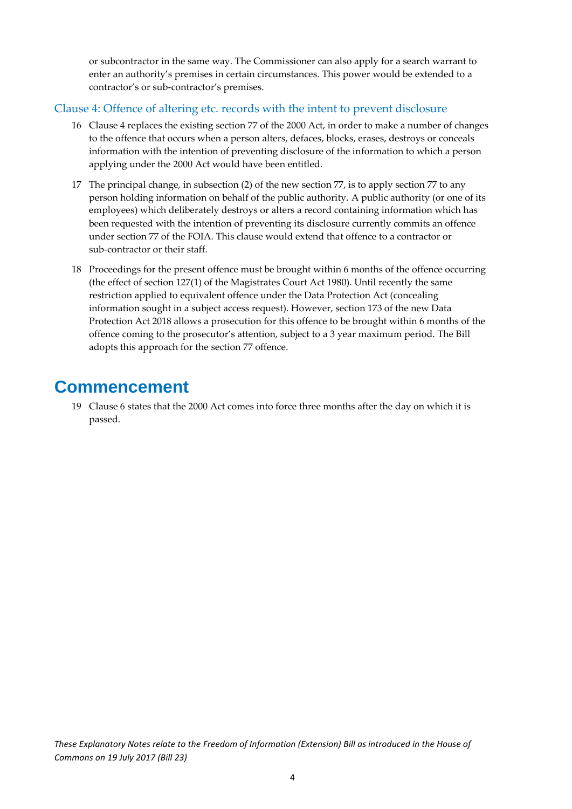or subcontractor in the same way. The Commissioner can also apply for a search warrant to enter an authority's premises in certain circumstances. This power would be extended to a contractor's or sub-contractor's premises.

#### <span id="page-4-0"></span>Clause 4: Offence of altering etc. records with the intent to prevent disclosure

- 16 Clause 4 replaces the existing section 77 of the 2000 Act, in order to make a number of changes to the offence that occurs when a person alters, defaces, blocks, erases, destroys or conceals information with the intention of preventing disclosure of the information to which a person applying under the 2000 Act would have been entitled.
- 17 The principal change, in subsection (2) of the new section 77, is to apply section 77 to any person holding information on behalf of the public authority. A public authority (or one of its employees) which deliberately destroys or alters a record containing information which has been requested with the intention of preventing its disclosure currently commits an offence under section 77 of the FOIA. This clause would extend that offence to a contractor or sub-contractor or their staff.
- 18 Proceedings for the present offence must be brought within 6 months of the offence occurring (the effect of section 127(1) of the Magistrates Court Act 1980). Until recently the same restriction applied to equivalent offence under the Data Protection Act (concealing information sought in a subject access request). However, section 173 of the new Data Protection Act 2018 allows a prosecution for this offence to be brought within 6 months of the offence coming to the prosecutor's attention, subject to a 3 year maximum period. The Bill adopts this approach for the section 77 offence.

### <span id="page-4-1"></span>**Commencement**

19 Clause 6 states that the 2000 Act comes into force three months after the day on which it is passed.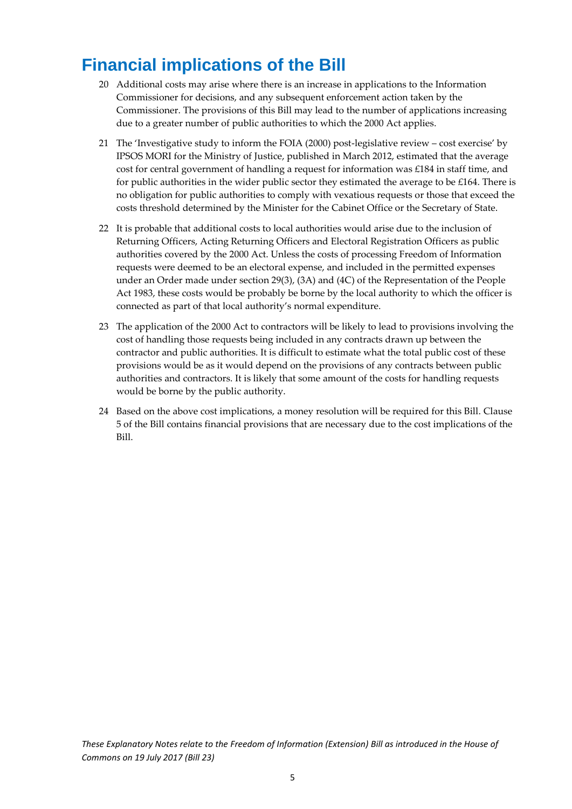## <span id="page-5-0"></span>**Financial implications of the Bill**

- 20 Additional costs may arise where there is an increase in applications to the Information Commissioner for decisions, and any subsequent enforcement action taken by the Commissioner. The provisions of this Bill may lead to the number of applications increasing due to a greater number of public authorities to which the 2000 Act applies.
- 21 The 'Investigative study to inform the FOIA (2000) post-legislative review cost exercise' by IPSOS MORI for the Ministry of Justice, published in March 2012, estimated that the average cost for central government of handling a request for information was £184 in staff time, and for public authorities in the wider public sector they estimated the average to be £164. There is no obligation for public authorities to comply with vexatious requests or those that exceed the costs threshold determined by the Minister for the Cabinet Office or the Secretary of State.
- 22 It is probable that additional costs to local authorities would arise due to the inclusion of Returning Officers, Acting Returning Officers and Electoral Registration Officers as public authorities covered by the 2000 Act. Unless the costs of processing Freedom of Information requests were deemed to be an electoral expense, and included in the permitted expenses under an Order made under section 29(3), (3A) and (4C) of the Representation of the People Act 1983, these costs would be probably be borne by the local authority to which the officer is connected as part of that local authority's normal expenditure.
- 23 The application of the 2000 Act to contractors will be likely to lead to provisions involving the cost of handling those requests being included in any contracts drawn up between the contractor and public authorities. It is difficult to estimate what the total public cost of these provisions would be as it would depend on the provisions of any contracts between public authorities and contractors. It is likely that some amount of the costs for handling requests would be borne by the public authority.
- 24 Based on the above cost implications, a money resolution will be required for this Bill. Clause 5 of the Bill contains financial provisions that are necessary due to the cost implications of the Bill.